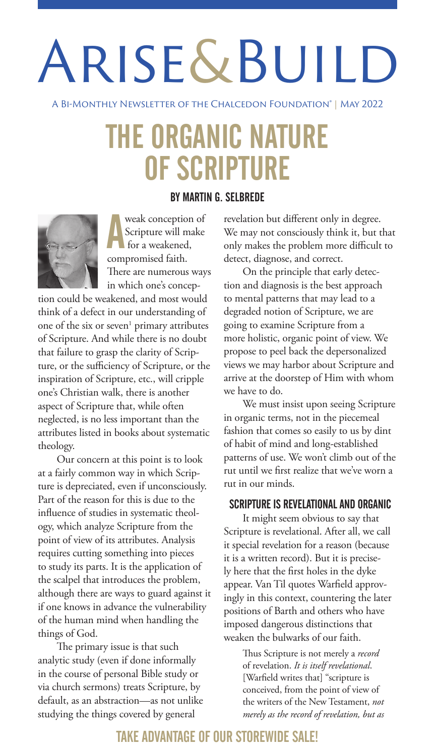## Arise&Build

A BI-Monthly Newsletter of the Chalcedon Foundation® | May 2022

### THE ORGANIC NATURE OF SCRIPTURE

#### BY MARTIN G. SELBREDE



**A**<br>Scripture will m<br>for a weakened,<br>compromised faith. weak conception of Scripture will make for a weakened, There are numerous ways in which one's concep-

tion could be weakened, and most would think of a defect in our understanding of one of the six or seven<sup>1</sup> primary attributes of Scripture. And while there is no doubt that failure to grasp the clarity of Scripture, or the sufficiency of Scripture, or the inspiration of Scripture, etc., will cripple one's Christian walk, there is another aspect of Scripture that, while often neglected, is no less important than the attributes listed in books about systematic theology.

Our concern at this point is to look at a fairly common way in which Scripture is depreciated, even if unconsciously. Part of the reason for this is due to the influence of studies in systematic theology, which analyze Scripture from the point of view of its attributes. Analysis requires cutting something into pieces to study its parts. It is the application of the scalpel that introduces the problem, although there are ways to guard against it if one knows in advance the vulnerability of the human mind when handling the things of God.

The primary issue is that such analytic study (even if done informally in the course of personal Bible study or via church sermons) treats Scripture, by default, as an abstraction—as not unlike studying the things covered by general

revelation but different only in degree. We may not consciously think it, but that only makes the problem more difficult to detect, diagnose, and correct.

On the principle that early detection and diagnosis is the best approach to mental patterns that may lead to a degraded notion of Scripture, we are going to examine Scripture from a more holistic, organic point of view. We propose to peel back the depersonalized views we may harbor about Scripture and arrive at the doorstep of Him with whom we have to do.

We must insist upon seeing Scripture in organic terms, not in the piecemeal fashion that comes so easily to us by dint of habit of mind and long-established patterns of use. We won't climb out of the rut until we first realize that we've worn a rut in our minds.

#### SCRIPTURE IS REVELATIONAL AND ORGANIC

It might seem obvious to say that Scripture is revelational. After all, we call it special revelation for a reason (because it is a written record). But it is precisely here that the first holes in the dyke appear. Van Til quotes Warfield approvingly in this context, countering the later positions of Barth and others who have imposed dangerous distinctions that weaken the bulwarks of our faith.

> Thus Scripture is not merely a *record* of revelation. *It is itself revelational*. [Warfield writes that] "scripture is conceived, from the point of view of the writers of the New Testament, *not merely as the record of revelation, but as*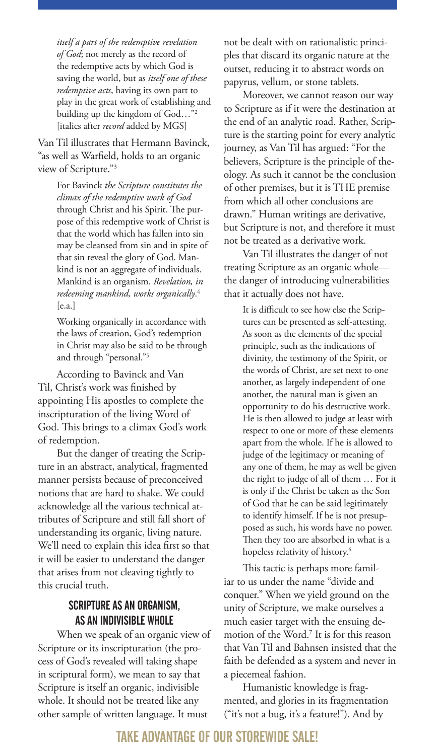*itself a part of the redemptive revelation of God*; not merely as the record of the redemptive acts by which God is saving the world, but as *itself one of these redemptive acts*, having its own part to play in the great work of establishing and building up the kingdom of God…"2 [italics after *record* added by MGS]

Van Til illustrates that Hermann Bavinck, "as well as Warfield, holds to an organic view of Scripture."3

> For Bavinck *the Scripture constitutes the climax of the redemptive work of God* through Christ and his Spirit. The purpose of this redemptive work of Christ is that the world which has fallen into sin may be cleansed from sin and in spite of that sin reveal the glory of God. Mankind is not an aggregate of individuals. Mankind is an organism. *Revelation, in redeeming mankind, works organically*. 4 [e.a.]

Working organically in accordance with the laws of creation, God's redemption in Christ may also be said to be through and through "personal."5

According to Bavinck and Van Til, Christ's work was finished by appointing His apostles to complete the inscripturation of the living Word of God. This brings to a climax God's work of redemption.

But the danger of treating the Scripture in an abstract, analytical, fragmented manner persists because of preconceived notions that are hard to shake. We could acknowledge all the various technical attributes of Scripture and still fall short of understanding its organic, living nature. We'll need to explain this idea first so that it will be easier to understand the danger that arises from not cleaving tightly to this crucial truth.

#### SCRIPTURE AS AN ORGANISM, AS AN INDIVISIBLE WHOLE

When we speak of an organic view of Scripture or its inscripturation (the process of God's revealed will taking shape in scriptural form), we mean to say that Scripture is itself an organic, indivisible whole. It should not be treated like any other sample of written language. It must

not be dealt with on rationalistic principles that discard its organic nature at the outset, reducing it to abstract words on papyrus, vellum, or stone tablets.

Moreover, we cannot reason our way to Scripture as if it were the destination at the end of an analytic road. Rather, Scripture is the starting point for every analytic journey, as Van Til has argued: "For the believers, Scripture is the principle of theology. As such it cannot be the conclusion of other premises, but it is THE premise from which all other conclusions are drawn." Human writings are derivative, but Scripture is not, and therefore it must not be treated as a derivative work.

Van Til illustrates the danger of not treating Scripture as an organic whole the danger of introducing vulnerabilities that it actually does not have.

> It is difficult to see how else the Scriptures can be presented as self-attesting. As soon as the elements of the special principle, such as the indications of divinity, the testimony of the Spirit, or the words of Christ, are set next to one another, as largely independent of one another, the natural man is given an opportunity to do his destructive work. He is then allowed to judge at least with respect to one or more of these elements apart from the whole. If he is allowed to judge of the legitimacy or meaning of any one of them, he may as well be given the right to judge of all of them … For it is only if the Christ be taken as the Son of God that he can be said legitimately to identify himself. If he is not presupposed as such, his words have no power. Then they too are absorbed in what is a hopeless relativity of history.<sup>6</sup>

This tactic is perhaps more familiar to us under the name "divide and conquer." When we yield ground on the unity of Scripture, we make ourselves a much easier target with the ensuing demotion of the Word.7 It is for this reason that Van Til and Bahnsen insisted that the faith be defended as a system and never in a piecemeal fashion.

Humanistic knowledge is fragmented, and glories in its fragmentation ("it's not a bug, it's a feature!"). And by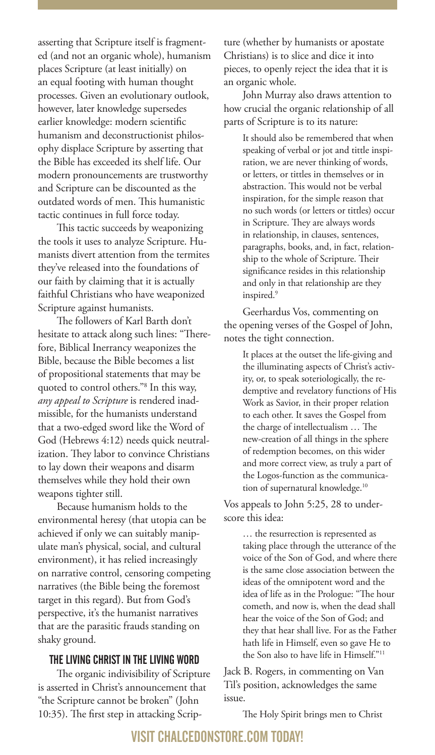asserting that Scripture itself is fragmented (and not an organic whole), humanism places Scripture (at least initially) on an equal footing with human thought processes. Given an evolutionary outlook, however, later knowledge supersedes earlier knowledge: modern scientific humanism and deconstructionist philosophy displace Scripture by asserting that the Bible has exceeded its shelf life. Our modern pronouncements are trustworthy and Scripture can be discounted as the outdated words of men. This humanistic tactic continues in full force today.

This tactic succeeds by weaponizing the tools it uses to analyze Scripture. Humanists divert attention from the termites they've released into the foundations of our faith by claiming that it is actually faithful Christians who have weaponized Scripture against humanists.

The followers of Karl Barth don't hesitate to attack along such lines: "Therefore, Biblical Inerrancy weaponizes the Bible, because the Bible becomes a list of propositional statements that may be quoted to control others."8 In this way, *any appeal to Scripture* is rendered inadmissible, for the humanists understand that a two-edged sword like the Word of God (Hebrews 4:12) needs quick neutralization. They labor to convince Christians to lay down their weapons and disarm themselves while they hold their own weapons tighter still.

Because humanism holds to the environmental heresy (that utopia can be achieved if only we can suitably manipulate man's physical, social, and cultural environment), it has relied increasingly on narrative control, censoring competing narratives (the Bible being the foremost target in this regard). But from God's perspective, it's the humanist narratives that are the parasitic frauds standing on shaky ground.

#### THE LIVING CHRIST IN THE LIVING WORD

The organic indivisibility of Scripture is asserted in Christ's announcement that "the Scripture cannot be broken" (John 10:35). The first step in attacking Scripture (whether by humanists or apostate Christians) is to slice and dice it into pieces, to openly reject the idea that it is an organic whole.

John Murray also draws attention to how crucial the organic relationship of all parts of Scripture is to its nature:

It should also be remembered that when speaking of verbal or jot and tittle inspiration, we are never thinking of words, or letters, or tittles in themselves or in abstraction. This would not be verbal inspiration, for the simple reason that no such words (or letters or tittles) occur in Scripture. They are always words in relationship, in clauses, sentences, paragraphs, books, and, in fact, relationship to the whole of Scripture. Their significance resides in this relationship and only in that relationship are they inspired.<sup>9</sup>

Geerhardus Vos, commenting on the opening verses of the Gospel of John, notes the tight connection.

> It places at the outset the life-giving and the illuminating aspects of Christ's activity, or, to speak soteriologically, the redemptive and revelatory functions of His Work as Savior, in their proper relation to each other. It saves the Gospel from the charge of intellectualism … The new-creation of all things in the sphere of redemption becomes, on this wider and more correct view, as truly a part of the Logos-function as the communication of supernatural knowledge.10

Vos appeals to John 5:25, 28 to underscore this idea:

> … the resurrection is represented as taking place through the utterance of the voice of the Son of God, and where there is the same close association between the ideas of the omnipotent word and the idea of life as in the Prologue: "The hour cometh, and now is, when the dead shall hear the voice of the Son of God; and they that hear shall live. For as the Father hath life in Himself, even so gave He to the Son also to have life in Himself."11

Jack B. Rogers, in commenting on Van Til's position, acknowledges the same issue.

The Holy Spirit brings men to Christ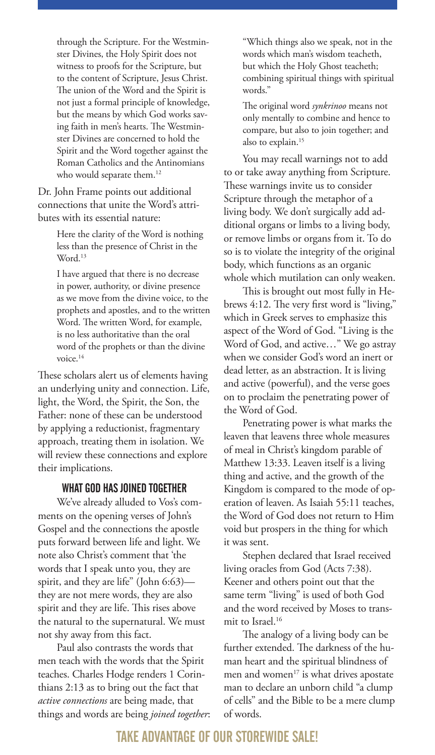through the Scripture. For the Westminster Divines, the Holy Spirit does not witness to proofs for the Scripture, but to the content of Scripture, Jesus Christ. The union of the Word and the Spirit is not just a formal principle of knowledge, but the means by which God works saving faith in men's hearts. The Westminster Divines are concerned to hold the Spirit and the Word together against the Roman Catholics and the Antinomians who would separate them.<sup>12</sup>

Dr. John Frame points out additional connections that unite the Word's attributes with its essential nature:

> Here the clarity of the Word is nothing less than the presence of Christ in the Word.<sup>13</sup>

I have argued that there is no decrease in power, authority, or divine presence as we move from the divine voice, to the prophets and apostles, and to the written Word. The written Word, for example, is no less authoritative than the oral word of the prophets or than the divine voice.14

These scholars alert us of elements having an underlying unity and connection. Life, light, the Word, the Spirit, the Son, the Father: none of these can be understood by applying a reductionist, fragmentary approach, treating them in isolation. We will review these connections and explore their implications.

#### WHAT GOD HAS JOINED TOGETHER

We've already alluded to Vos's comments on the opening verses of John's Gospel and the connections the apostle puts forward between life and light. We note also Christ's comment that 'the words that I speak unto you, they are spirit, and they are life" (John 6:63) they are not mere words, they are also spirit and they are life. This rises above the natural to the supernatural. We must not shy away from this fact.

Paul also contrasts the words that men teach with the words that the Spirit teaches. Charles Hodge renders 1 Corinthians 2:13 as to bring out the fact that *active connections* are being made, that things and words are being *joined together*: "Which things also we speak, not in the words which man's wisdom teacheth, but which the Holy Ghost teacheth; combining spiritual things with spiritual words."

The original word *synkrinoo* means not only mentally to combine and hence to compare, but also to join together; and also to explain.<sup>15</sup>

You may recall warnings not to add to or take away anything from Scripture. These warnings invite us to consider Scripture through the metaphor of a living body. We don't surgically add additional organs or limbs to a living body, or remove limbs or organs from it. To do so is to violate the integrity of the original body, which functions as an organic whole which mutilation can only weaken.

This is brought out most fully in Hebrews 4:12. The very first word is "living," which in Greek serves to emphasize this aspect of the Word of God. "Living is the Word of God, and active…" We go astray when we consider God's word an inert or dead letter, as an abstraction. It is living and active (powerful), and the verse goes on to proclaim the penetrating power of the Word of God.

Penetrating power is what marks the leaven that leavens three whole measures of meal in Christ's kingdom parable of Matthew 13:33. Leaven itself is a living thing and active, and the growth of the Kingdom is compared to the mode of operation of leaven. As Isaiah 55:11 teaches, the Word of God does not return to Him void but prospers in the thing for which it was sent.

Stephen declared that Israel received living oracles from God (Acts 7:38). Keener and others point out that the same term "living" is used of both God and the word received by Moses to transmit to Israel.<sup>16</sup>

The analogy of a living body can be further extended. The darkness of the human heart and the spiritual blindness of men and women $17$  is what drives apostate man to declare an unborn child "a clump of cells" and the Bible to be a mere clump of words.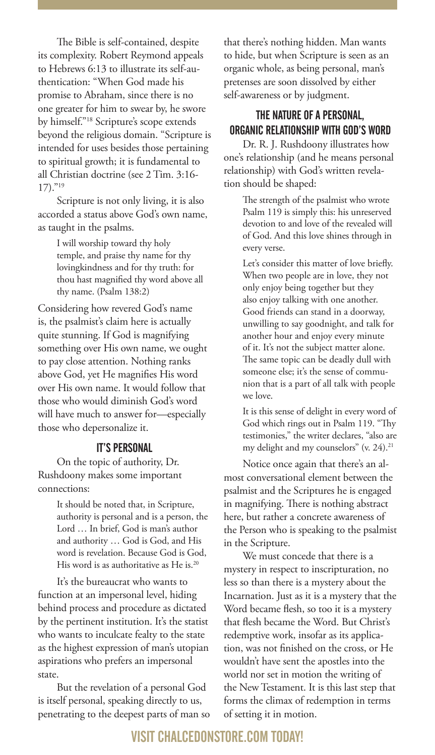The Bible is self-contained, despite its complexity. Robert Reymond appeals to Hebrews 6:13 to illustrate its self-authentication: "When God made his promise to Abraham, since there is no one greater for him to swear by, he swore by himself."18 Scripture's scope extends beyond the religious domain. "Scripture is intended for uses besides those pertaining to spiritual growth; it is fundamental to all Christian doctrine (see 2 Tim. 3:16- 17)."19

Scripture is not only living, it is also accorded a status above God's own name, as taught in the psalms.

> I will worship toward thy holy temple, and praise thy name for thy lovingkindness and for thy truth: for thou hast magnified thy word above all thy name. (Psalm 138:2)

Considering how revered God's name is, the psalmist's claim here is actually quite stunning. If God is magnifying something over His own name, we ought to pay close attention. Nothing ranks above God, yet He magnifies His word over His own name. It would follow that those who would diminish God's word will have much to answer for—especially those who depersonalize it.

#### IT'S PERSONAL

On the topic of authority, Dr. Rushdoony makes some important connections:

> It should be noted that, in Scripture, authority is personal and is a person, the Lord … In brief, God is man's author and authority … God is God, and His word is revelation. Because God is God, His word is as authoritative as He is.<sup>20</sup>

It's the bureaucrat who wants to function at an impersonal level, hiding behind process and procedure as dictated by the pertinent institution. It's the statist who wants to inculcate fealty to the state as the highest expression of man's utopian aspirations who prefers an impersonal state.

But the revelation of a personal God is itself personal, speaking directly to us, penetrating to the deepest parts of man so

that there's nothing hidden. Man wants to hide, but when Scripture is seen as an organic whole, as being personal, man's pretenses are soon dissolved by either self-awareness or by judgment.

#### THE NATURE OF A PERSONAL, ORGANIC RELATIONSHIP WITH GOD'S WORD

Dr. R. J. Rushdoony illustrates how one's relationship (and he means personal relationship) with God's written revelation should be shaped:

> The strength of the psalmist who wrote Psalm 119 is simply this: his unreserved devotion to and love of the revealed will of God. And this love shines through in every verse.

Let's consider this matter of love briefly. When two people are in love, they not only enjoy being together but they also enjoy talking with one another. Good friends can stand in a doorway, unwilling to say goodnight, and talk for another hour and enjoy every minute of it. It's not the subject matter alone. The same topic can be deadly dull with someone else; it's the sense of communion that is a part of all talk with people we love.

It is this sense of delight in every word of God which rings out in Psalm 119. "Thy testimonies," the writer declares, "also are my delight and my counselors" (v. 24).21

Notice once again that there's an almost conversational element between the psalmist and the Scriptures he is engaged in magnifying. There is nothing abstract here, but rather a concrete awareness of the Person who is speaking to the psalmist in the Scripture.

We must concede that there is a mystery in respect to inscripturation, no less so than there is a mystery about the Incarnation. Just as it is a mystery that the Word became flesh, so too it is a mystery that flesh became the Word. But Christ's redemptive work, insofar as its application, was not finished on the cross, or He wouldn't have sent the apostles into the world nor set in motion the writing of the New Testament. It is this last step that forms the climax of redemption in terms of setting it in motion.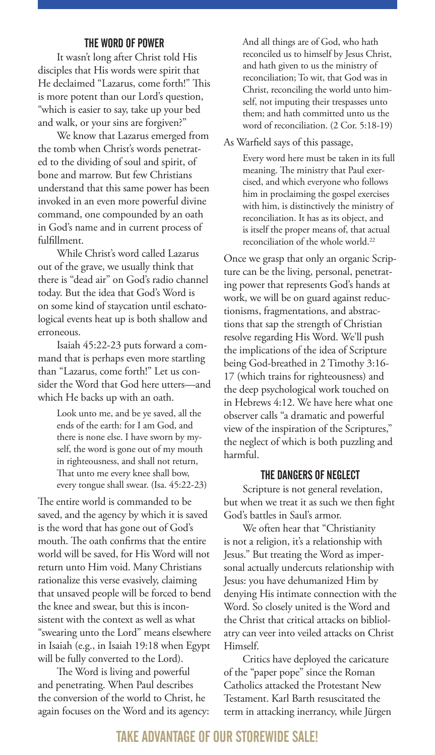#### THE WORD OF POWER

It wasn't long after Christ told His disciples that His words were spirit that He declaimed "Lazarus, come forth!" This is more potent than our Lord's question, "which is easier to say, take up your bed and walk, or your sins are forgiven?"

We know that Lazarus emerged from the tomb when Christ's words penetrated to the dividing of soul and spirit, of bone and marrow. But few Christians understand that this same power has been invoked in an even more powerful divine command, one compounded by an oath in God's name and in current process of fulfillment.

While Christ's word called Lazarus out of the grave, we usually think that there is "dead air" on God's radio channel today. But the idea that God's Word is on some kind of staycation until eschatological events heat up is both shallow and erroneous.

Isaiah 45:22-23 puts forward a command that is perhaps even more startling than "Lazarus, come forth!" Let us consider the Word that God here utters—and which He backs up with an oath.

> Look unto me, and be ye saved, all the ends of the earth: for I am God, and there is none else. I have sworn by myself, the word is gone out of my mouth in righteousness, and shall not return, That unto me every knee shall bow, every tongue shall swear. (Isa. 45:22-23)

The entire world is commanded to be saved, and the agency by which it is saved is the word that has gone out of God's mouth. The oath confirms that the entire world will be saved, for His Word will not return unto Him void. Many Christians rationalize this verse evasively, claiming that unsaved people will be forced to bend the knee and swear, but this is inconsistent with the context as well as what "swearing unto the Lord" means elsewhere in Isaiah (e.g., in Isaiah 19:18 when Egypt will be fully converted to the Lord).

The Word is living and powerful and penetrating. When Paul describes the conversion of the world to Christ, he again focuses on the Word and its agency: And all things are of God, who hath reconciled us to himself by Jesus Christ, and hath given to us the ministry of reconciliation; To wit, that God was in Christ, reconciling the world unto himself, not imputing their trespasses unto them; and hath committed unto us the word of reconciliation. (2 Cor. 5:18-19)

As Warfield says of this passage,

Every word here must be taken in its full meaning. The ministry that Paul exercised, and which everyone who follows him in proclaiming the gospel exercises with him, is distinctively the ministry of reconciliation. It has as its object, and is itself the proper means of, that actual reconciliation of the whole world.<sup>22</sup>

Once we grasp that only an organic Scripture can be the living, personal, penetrating power that represents God's hands at work, we will be on guard against reductionisms, fragmentations, and abstractions that sap the strength of Christian resolve regarding His Word. We'll push the implications of the idea of Scripture being God-breathed in 2 Timothy 3:16- 17 (which trains for righteousness) and the deep psychological work touched on in Hebrews 4:12. We have here what one observer calls "a dramatic and powerful view of the inspiration of the Scriptures," the neglect of which is both puzzling and harmful.

#### THE DANGERS OF NEGLECT

Scripture is not general revelation, but when we treat it as such we then fight God's battles in Saul's armor.

We often hear that "Christianity is not a religion, it's a relationship with Jesus." But treating the Word as impersonal actually undercuts relationship with Jesus: you have dehumanized Him by denying His intimate connection with the Word. So closely united is the Word and the Christ that critical attacks on bibliolatry can veer into veiled attacks on Christ Himself.

Critics have deployed the caricature of the "paper pope" since the Roman Catholics attacked the Protestant New Testament. Karl Barth resuscitated the term in attacking inerrancy, while Jürgen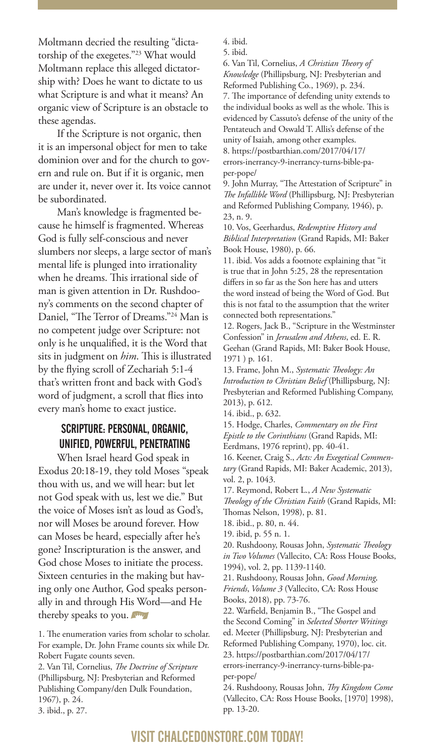Moltmann decried the resulting "dictatorship of the exegetes."23 What would Moltmann replace this alleged dictatorship with? Does he want to dictate to us what Scripture is and what it means? An organic view of Scripture is an obstacle to these agendas.

If the Scripture is not organic, then it is an impersonal object for men to take dominion over and for the church to govern and rule on. But if it is organic, men are under it, never over it. Its voice cannot be subordinated.

Man's knowledge is fragmented because he himself is fragmented. Whereas God is fully self-conscious and never slumbers nor sleeps, a large sector of man's mental life is plunged into irrationality when he dreams. This irrational side of man is given attention in Dr. Rushdoony's comments on the second chapter of Daniel, "The Terror of Dreams."24 Man is no competent judge over Scripture: not only is he unqualified, it is the Word that sits in judgment on *him*. This is illustrated by the flying scroll of Zechariah 5:1-4 that's written front and back with God's word of judgment, a scroll that flies into every man's home to exact justice.

#### SCRIPTURE: PERSONAL, ORGANIC, UNIFIED, POWERFUL, PENETRATING

When Israel heard God speak in Exodus 20:18-19, they told Moses "speak thou with us, and we will hear: but let not God speak with us, lest we die." But the voice of Moses isn't as loud as God's, nor will Moses be around forever. How can Moses be heard, especially after he's gone? Inscripturation is the answer, and God chose Moses to initiate the process. Sixteen centuries in the making but having only one Author, God speaks personally in and through His Word—and He thereby speaks to you.

1. The enumeration varies from scholar to scholar. For example, Dr. John Frame counts six while Dr. Robert Fugate counts seven.

2. Van Til, Cornelius, *The Doctrine of Scripture* (Phillipsburg, NJ: Presbyterian and Reformed Publishing Company/den Dulk Foundation, 1967), p. 24.

3. ibid., p. 27.

4. ibid.

5. ibid.

6. Van Til, Cornelius, *A Christian Theory of Knowledge* (Phillipsburg, NJ: Presbyterian and Reformed Publishing Co., 1969), p. 234. 7. The importance of defending unity extends to the individual books as well as the whole. This is evidenced by Cassuto's defense of the unity of the Pentateuch and Oswald T. Allis's defense of the unity of Isaiah, among other examples. 8. https://postbarthian.com/2017/04/17/ errors-inerrancy-9-inerrancy-turns-bible-paper-pope/

9. John Murray, "The Attestation of Scripture" in *The Infallible Word* (Phillipsburg, NJ: Presbyterian and Reformed Publishing Company, 1946), p. 23, n. 9.

10. Vos, Geerhardus, *Redemptive History and Biblical Interpretation* (Grand Rapids, MI: Baker Book House, 1980), p. 66.

11. ibid. Vos adds a footnote explaining that "it is true that in John 5:25, 28 the representation differs in so far as the Son here has and utters the word instead of being the Word of God. But this is not fatal to the assumption that the writer connected both representations."

12. Rogers, Jack B., "Scripture in the Westminster Confession" in *Jerusalem and Athens*, ed. E. R. Geehan (Grand Rapids, MI: Baker Book House, 1971 ) p. 161.

13. Frame, John M., *Systematic Theology: An Introduction to Christian Belief* (Phillipsburg, NJ: Presbyterian and Reformed Publishing Company, 2013), p. 612.

14. ibid., p. 632.

15. Hodge, Charles, *Commentary on the First Epistle to the Corinthians* (Grand Rapids, MI: Eerdmans, 1976 reprint), pp. 40-41.

16. Keener, Craig S., *Acts: An Exegetical Commentary* (Grand Rapids, MI: Baker Academic, 2013), vol. 2, p. 1043.

17. Reymond, Robert L., *A New Systematic Theology of the Christian Faith* (Grand Rapids, MI: Thomas Nelson, 1998), p. 81.

18. ibid., p. 80, n. 44.

19. ibid, p. 55 n. 1.

20. Rushdoony, Rousas John, *Systematic Theology in Two Volumes* (Vallecito, CA: Ross House Books, 1994), vol. 2, pp. 1139-1140.

21. Rushdoony, Rousas John, *Good Morning, Friends*, *Volume 3* (Vallecito, CA: Ross House Books, 2018), pp. 73-76.

22. Warfield, Benjamin B., "The Gospel and the Second Coming" in *Selected Shorter Writings* ed. Meeter (Phillipsburg, NJ: Presbyterian and Reformed Publishing Company, 1970), loc. cit. 23. https://postbarthian.com/2017/04/17/ errors-inerrancy-9-inerrancy-turns-bible-paper-pope/

24. Rushdoony, Rousas John, *Thy Kingdom Come* (Vallecito, CA: Ross House Books, [1970] 1998), pp. 13-20.